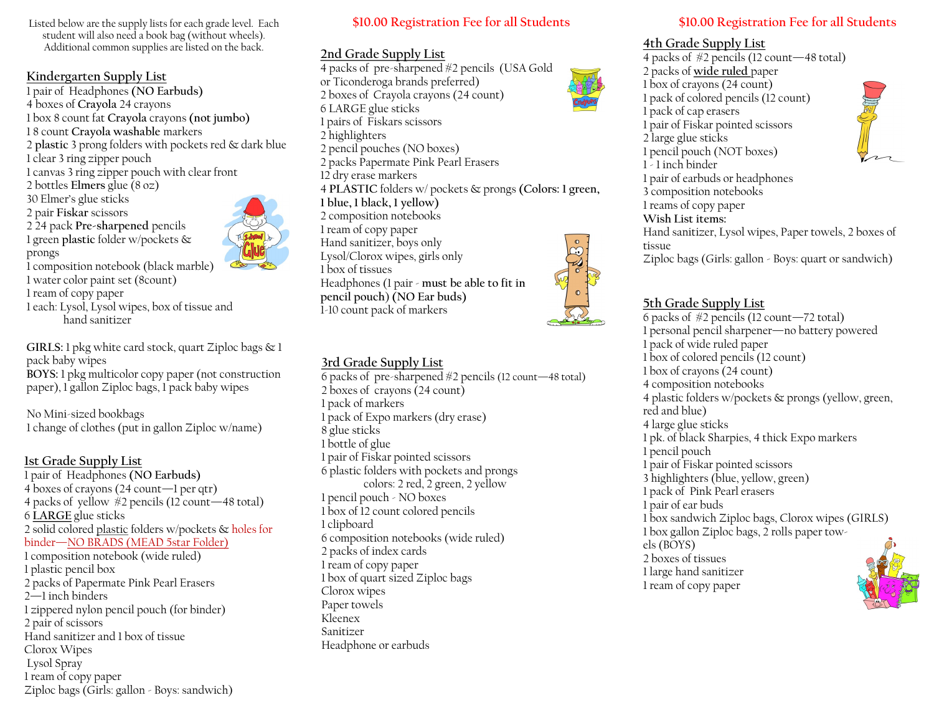Listed below are the supply lists for each grade level. Each student will also need a book bag (without wheels). Additional common supplies are listed on the back.<br>Additional common supplies are listed on the back.

#### **Kindergarten Supply List**

- 1 pair of Headphones **(NO Earbuds)** 4 boxes of **Crayola** 24 crayons 1 box 8 count fat **Crayola** crayons **(not jumbo)** 1 8 count **Crayola washable** markers 2 **plastic** 3 prong folders with pockets red & dark blue 1 clear 3 ring zipper pouch 1 canvas 3 ring zipper pouch with clear front 2 bottles **Elmers** glue (8 oz) 30 Elmer's glue sticks 2 pair **Fiskar** scissors 2 24 pack **Pre-sharpened** pencils 1 green **plastic** folder w/pockets & prongs 1 composition notebook (black marble) 1 water color paint set (8count) 1 ream of copy paper
- 1 each: Lysol, Lysol wipes, box of tissue and hand sanitizer

**GIRLS:** 1 pkg white card stock, quart Ziploc bags & 1 pack baby wipes **BOYS:** 1 pkg multicolor copy paper (not construction paper), 1 gallon Ziploc bags, 1 pack baby wipes

No Mini-sized bookbags 1 change of clothes (put in gallon Ziploc w/name)

#### **1st Grade Supply List** 1 pair of Headphones **(NO Earbuds)** 4 boxes of crayons (24 count—1 per qtr) 4 packs of yellow #2 pencils (12 count—48 total) 6 **LARGE** glue sticks 2 solid colored plastic folders w/pockets & holes for binder—NO BRADS (MEAD 5star Folder) 1 composition notebook (wide ruled) 1 plastic pencil box 2 packs of Papermate Pink Pearl Erasers 2—1 inch binders 1 zippered nylon pencil pouch (for binder) 2 pair of scissors Hand sanitizer and 1 box of tissue Clorox Wipes Lysol Spray 1 ream of copy paper Ziploc bags (Girls: gallon - Boys: sandwich)

#### **\$10.00 Registration Fee for all Students \$10.00 Registration Fee for all Students**

#### **2nd Grade Supply List**

4 packs of pre-sharpened #2 pencils (USA Gold or Ticonderoga brands preferred) 2 boxes of Crayola crayons (24 count) 6 LARGE glue sticks 1 pairs of Fiskars scissors 2 highlighters 2 pencil pouches (NO boxes) 2 packs Papermate Pink Pearl Erasers 12 dry erase markers 4 **PLASTIC** folders w/ pockets & prongs **(Colors: 1 green, 1 blue, 1 black, 1 yellow)** 2 composition notebooks 1 ream of copy paper Hand sanitizer, boys only Lysol/Clorox wipes, girls only 1 box of tissues Headphones (1 pair - **must be able to fit in pencil pouch**) **(NO Ear buds)** 1-10 count pack of markers

#### **3rd Grade Supply List**

6 packs of pre-sharpened  $\#2$  pencils (12 count—48 total) 2 boxes of crayons (24 count) 1 pack of markers 1 pack of Expo markers (dry erase) 8 glue sticks 1 bottle of glue 1 pair of Fiskar pointed scissors 6 plastic folders with pockets and prongs colors: 2 red, 2 green, 2 yellow 1 pencil pouch - NO boxes 1 box of 12 count colored pencils 1 clipboard 6 composition notebooks (wide ruled) 2 packs of index cards 1 ream of copy paper 1 box of quart sized Ziploc bags Clorox wipes Paper towels Kleenex Sanitizer Headphone or earbuds

4 packs of #2 pencils (12 count—48 total) 2 packs of **wide ruled** paper 1 box of crayons (24 count) 1 pack of colored pencils (12 count) 1 pack of cap erasers 1 pair of Fiskar pointed scissors 2 large glue sticks 1 pencil pouch (NOT boxes) 1 - 1 inch binder 1 pair of earbuds or headphones 3 composition notebooks 1 reams of copy paper **Wish List items:** Hand sanitizer, Lysol wipes, Paper towels, 2 boxes of tissue Ziploc bags (Girls: gallon - Boys: quart or sandwich)

### **5th Grade Supply List**

6 packs of #2 pencils (12 count—72 total) 1 personal pencil sharpener—no battery powered 1 pack of wide ruled paper 1 box of colored pencils (12 count) 1 box of crayons (24 count) 4 composition notebooks 4 plastic folders w/pockets & prongs (yellow, green, red and blue) 4 large glue sticks 1 pk. of black Sharpies, 4 thick Expo markers 1 pencil pouch 1 pair of Fiskar pointed scissors 3 highlighters (blue, yellow, green) 1 pack of Pink Pearl erasers 1 pair of ear buds 1 box sandwich Ziploc bags, Clorox wipes (GIRLS) 1 box gallon Ziploc bags, 2 rolls paper towels (BOYS) 2 boxes of tissues 1 large hand sanitizer 1 ream of copy paper